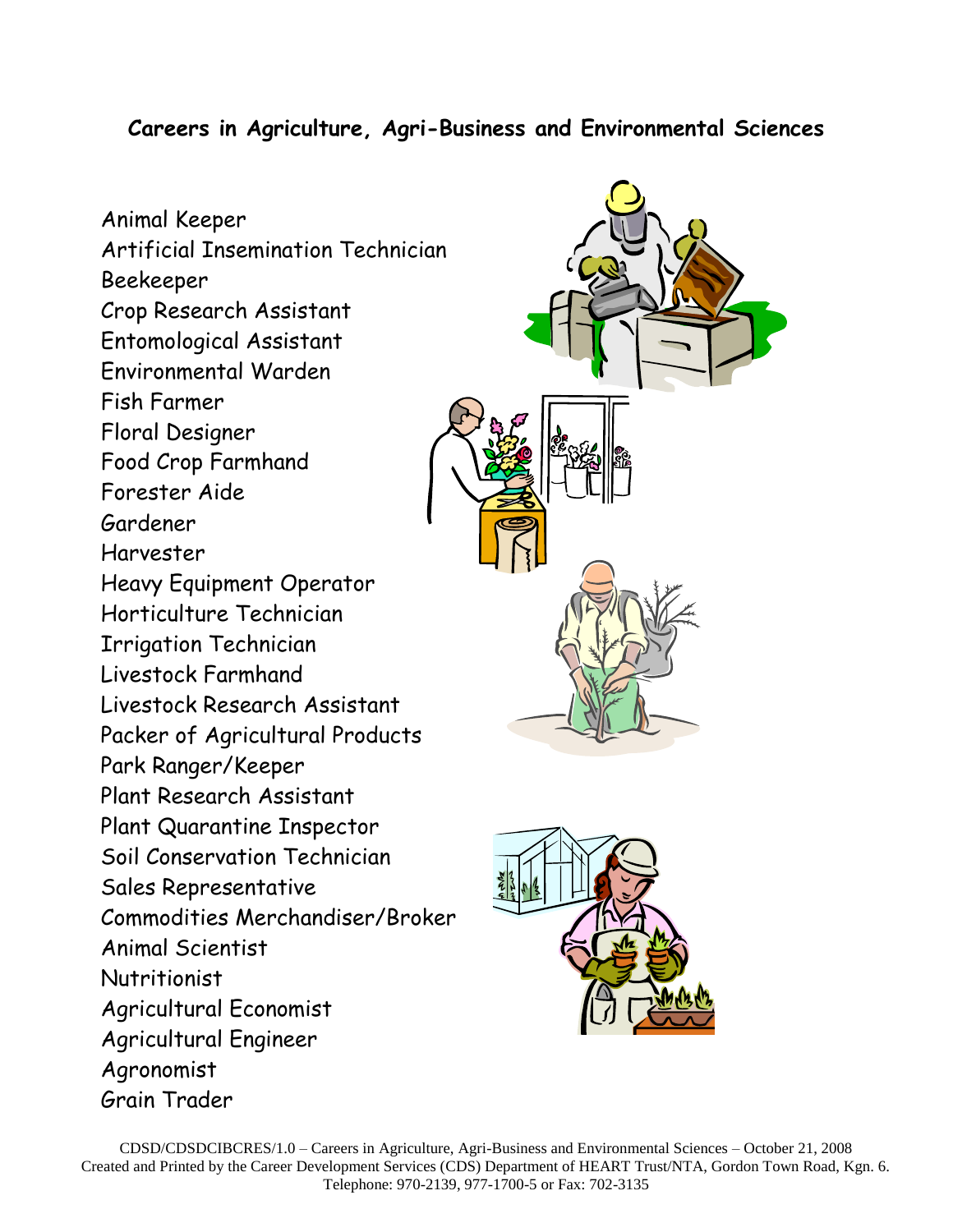## **Careers in Agriculture, Agri-Business and Environmental Sciences**

Animal Keeper Artificial Insemination Technician Beekeeper Crop Research Assistant Entomological Assistant Environmental Warden Fish Farmer Floral Designer Food Crop Farmhand Forester Aide Gardener Harvester Heavy Equipment Operator Horticulture Technician Irrigation Technician Livestock Farmhand Livestock Research Assistant Packer of Agricultural Products Park Ranger/Keeper Plant Research Assistant Plant Quarantine Inspector Soil Conservation Technician Sales Representative Commodities Merchandiser/Broker Animal Scientist **Nutritionist** Agricultural Economist Agricultural Engineer Agronomist Grain Trader



CDSD/CDSDCIBCRES/1.0 – Careers in Agriculture, Agri-Business and Environmental Sciences – October 21, 2008 Created and Printed by the Career Development Services (CDS) Department of HEART Trust/NTA, Gordon Town Road, Kgn. 6. Telephone: 970-2139, 977-1700-5 or Fax: 702-3135